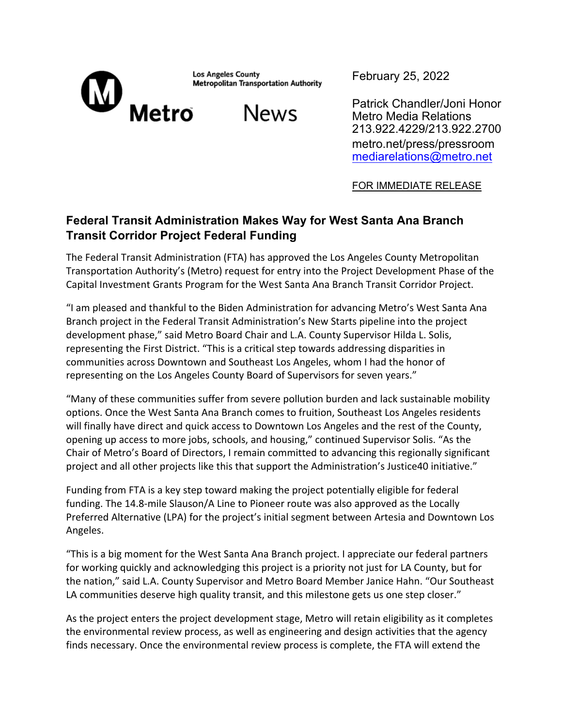

**Los Angeles County Metropolitan Transportation Authority** 

**News** 

February 25, 2022

Patrick Chandler/Joni Honor Metro Media Relations 213.922.4229/213.922.2700 metro.net/press/pressroom mediarelations@metro.net

FOR IMMEDIATE RELEASE

## **Federal Transit Administration Makes Way for West Santa Ana Branch Transit Corridor Project Federal Funding**

The Federal Transit Administration (FTA) has approved the Los Angeles County Metropolitan Transportation Authority's (Metro) request for entry into the Project Development Phase of the Capital Investment Grants Program for the West Santa Ana Branch Transit Corridor Project.

"I am pleased and thankful to the Biden Administration for advancing Metro's West Santa Ana Branch project in the Federal Transit Administration's New Starts pipeline into the project development phase," said Metro Board Chair and L.A. County Supervisor Hilda L. Solis, representing the First District. "This is a critical step towards addressing disparities in communities across Downtown and Southeast Los Angeles, whom I had the honor of representing on the Los Angeles County Board of Supervisors for seven years."

"Many of these communities suffer from severe pollution burden and lack sustainable mobility options. Once the West Santa Ana Branch comes to fruition, Southeast Los Angeles residents will finally have direct and quick access to Downtown Los Angeles and the rest of the County, opening up access to more jobs, schools, and housing," continued Supervisor Solis. "As the Chair of Metro's Board of Directors, I remain committed to advancing this regionally significant project and all other projects like this that support the Administration's Justice40 initiative."

Funding from FTA is a key step toward making the project potentially eligible for federal funding. The 14.8-mile Slauson/A Line to Pioneer route was also approved as the Locally Preferred Alternative (LPA) for the project's initial segment between Artesia and Downtown Los Angeles.

"This is a big moment for the West Santa Ana Branch project. I appreciate our federal partners for working quickly and acknowledging this project is a priority not just for LA County, but for the nation," said L.A. County Supervisor and Metro Board Member Janice Hahn. "Our Southeast LA communities deserve high quality transit, and this milestone gets us one step closer."

As the project enters the project development stage, Metro will retain eligibility as it completes the environmental review process, as well as engineering and design activities that the agency finds necessary. Once the environmental review process is complete, the FTA will extend the